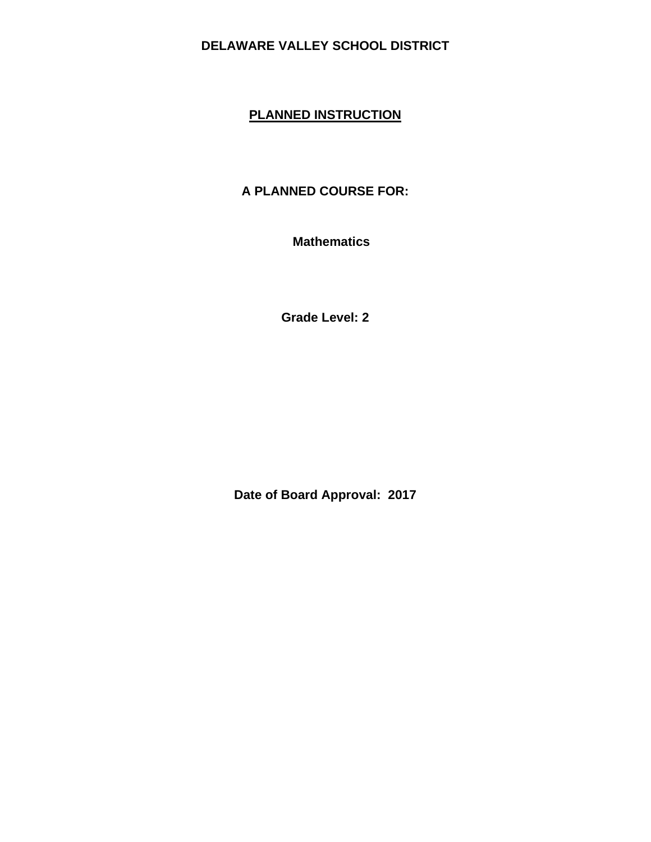# **PLANNED INSTRUCTION**

# **A PLANNED COURSE FOR:**

 **Mathematics** 

**Grade Level: 2** 

**Date of Board Approval: 2017**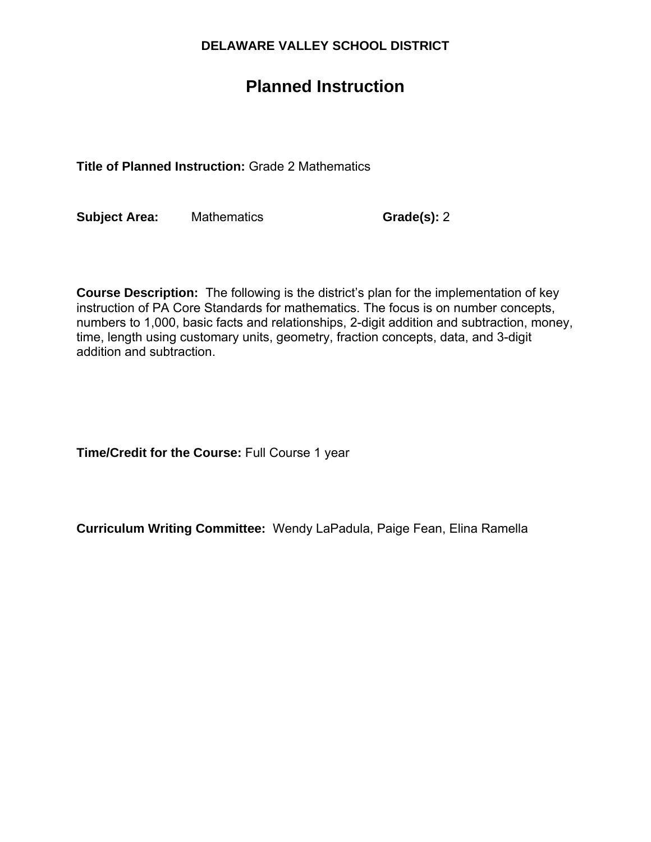# **Planned Instruction**

**Title of Planned Instruction:** Grade 2 Mathematics

**Subject Area:** Mathematics **Grade(s):** 2

**Course Description:** The following is the district's plan for the implementation of key instruction of PA Core Standards for mathematics. The focus is on number concepts, numbers to 1,000, basic facts and relationships, 2-digit addition and subtraction, money, time, length using customary units, geometry, fraction concepts, data, and 3-digit addition and subtraction.

**Time/Credit for the Course:** Full Course 1 year

**Curriculum Writing Committee:** Wendy LaPadula, Paige Fean, Elina Ramella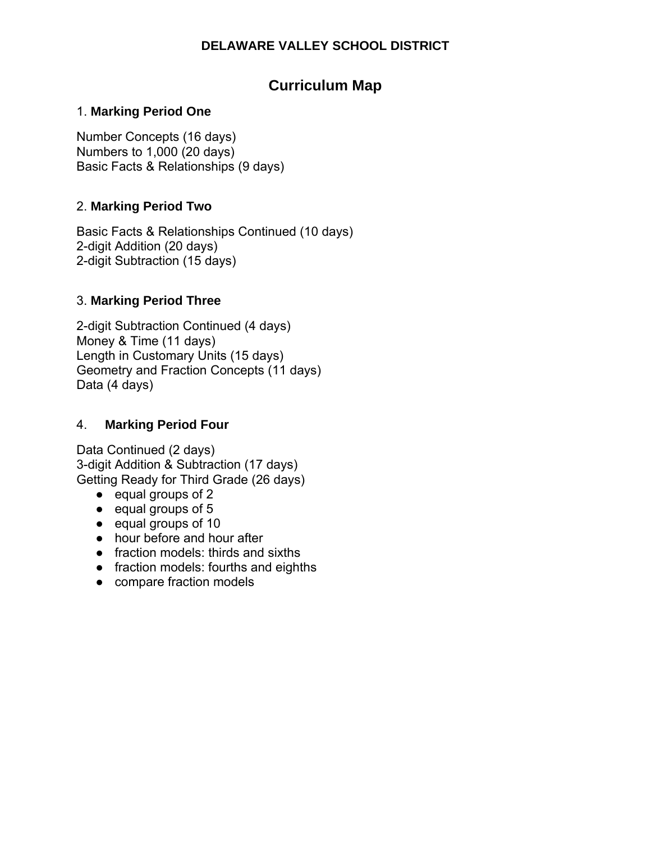# **Curriculum Map**

## 1. **Marking Period One**

Number Concepts (16 days) Numbers to 1,000 (20 days) Basic Facts & Relationships (9 days)

## 2. **Marking Period Two**

Basic Facts & Relationships Continued (10 days) 2-digit Addition (20 days) 2-digit Subtraction (15 days)

# 3. **Marking Period Three**

2-digit Subtraction Continued (4 days) Money & Time (11 days) Length in Customary Units (15 days) Geometry and Fraction Concepts (11 days) Data (4 days)

#### 4. **Marking Period Four**

Data Continued (2 days) 3-digit Addition & Subtraction (17 days) Getting Ready for Third Grade (26 days)

- equal groups of 2
- equal groups of 5
- equal groups of 10
- hour before and hour after
- fraction models: thirds and sixths
- fraction models: fourths and eighths
- compare fraction models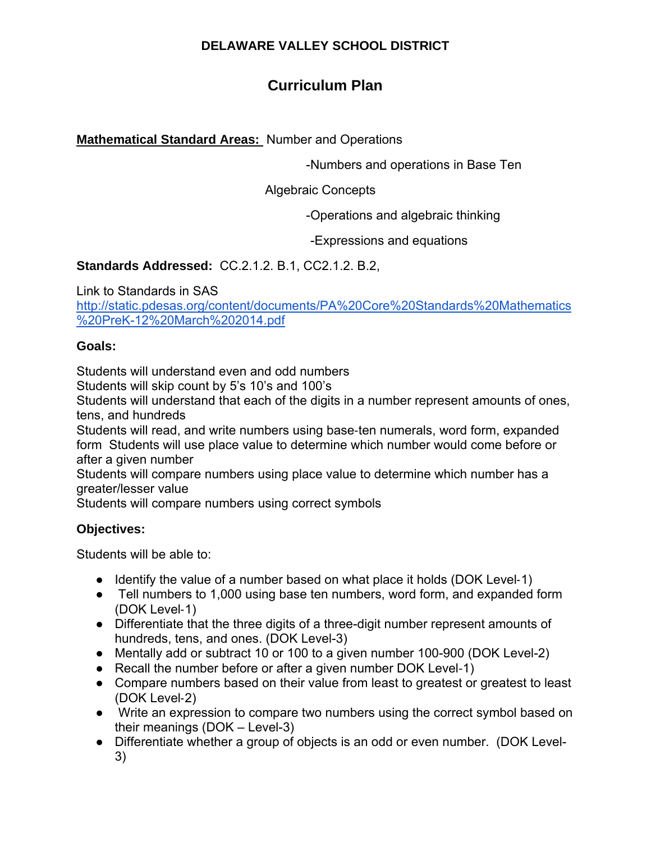# **Curriculum Plan**

**Mathematical Standard Areas:** Number and Operations

-Numbers and operations in Base Ten

Algebraic Concepts

-Operations and algebraic thinking

-Expressions and equations

**Standards Addressed:** CC.2.1.2. B.1, CC2.1.2. B.2,

Link to Standards in SAS

http://static.pdesas.org/content/documents/PA%20Core%20Standards%20Mathematics %20PreK-12%20March%202014.pdf

#### **Goals:**

Students will understand even and odd numbers

Students will skip count by 5's 10's and 100's

Students will understand that each of the digits in a number represent amounts of ones, tens, and hundreds

Students will read, and write numbers using base‐ten numerals, word form, expanded form Students will use place value to determine which number would come before or after a given number

Students will compare numbers using place value to determine which number has a greater/lesser value

Students will compare numbers using correct symbols

#### **Objectives:**

- Identify the value of a number based on what place it holds (DOK Level-1)
- Tell numbers to 1,000 using base ten numbers, word form, and expanded form (DOK Level‐1)
- Differentiate that the three digits of a three-digit number represent amounts of hundreds, tens, and ones. (DOK Level-3)
- Mentally add or subtract 10 or 100 to a given number 100-900 (DOK Level-2)
- Recall the number before or after a given number DOK Level-1)
- Compare numbers based on their value from least to greatest or greatest to least (DOK Level‐2)
- Write an expression to compare two numbers using the correct symbol based on their meanings (DOK – Level-3)
- Differentiate whether a group of objects is an odd or even number. (DOK Level-3)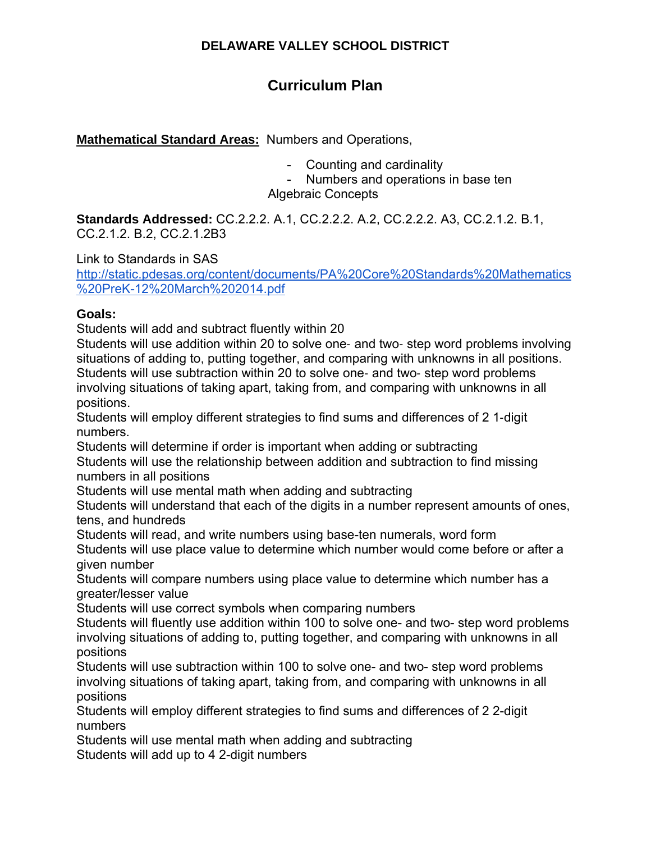# **Curriculum Plan**

**Mathematical Standard Areas:** Numbers and Operations,

- Counting and cardinality

- Numbers and operations in base ten

Algebraic Concepts

**Standards Addressed:** CC.2.2.2. A.1, CC.2.2.2. A.2, CC.2.2.2. A3, CC.2.1.2. B.1, CC.2.1.2. B.2, CC.2.1.2B3

Link to Standards in SAS

http://static.pdesas.org/content/documents/PA%20Core%20Standards%20Mathematics %20PreK-12%20March%202014.pdf

#### **Goals:**

Students will add and subtract fluently within 20

Students will use addition within 20 to solve one‐ and two‐ step word problems involving situations of adding to, putting together, and comparing with unknowns in all positions. Students will use subtraction within 20 to solve one‐ and two‐ step word problems involving situations of taking apart, taking from, and comparing with unknowns in all positions.

Students will employ different strategies to find sums and differences of 2 1‐digit numbers.

Students will determine if order is important when adding or subtracting

Students will use the relationship between addition and subtraction to find missing numbers in all positions

Students will use mental math when adding and subtracting

Students will understand that each of the digits in a number represent amounts of ones, tens, and hundreds

Students will read, and write numbers using base-ten numerals, word form

Students will use place value to determine which number would come before or after a given number

Students will compare numbers using place value to determine which number has a greater/lesser value

Students will use correct symbols when comparing numbers

Students will fluently use addition within 100 to solve one- and two- step word problems involving situations of adding to, putting together, and comparing with unknowns in all positions

Students will use subtraction within 100 to solve one- and two- step word problems involving situations of taking apart, taking from, and comparing with unknowns in all positions

Students will employ different strategies to find sums and differences of 2 2-digit numbers

Students will use mental math when adding and subtracting

Students will add up to 4 2-digit numbers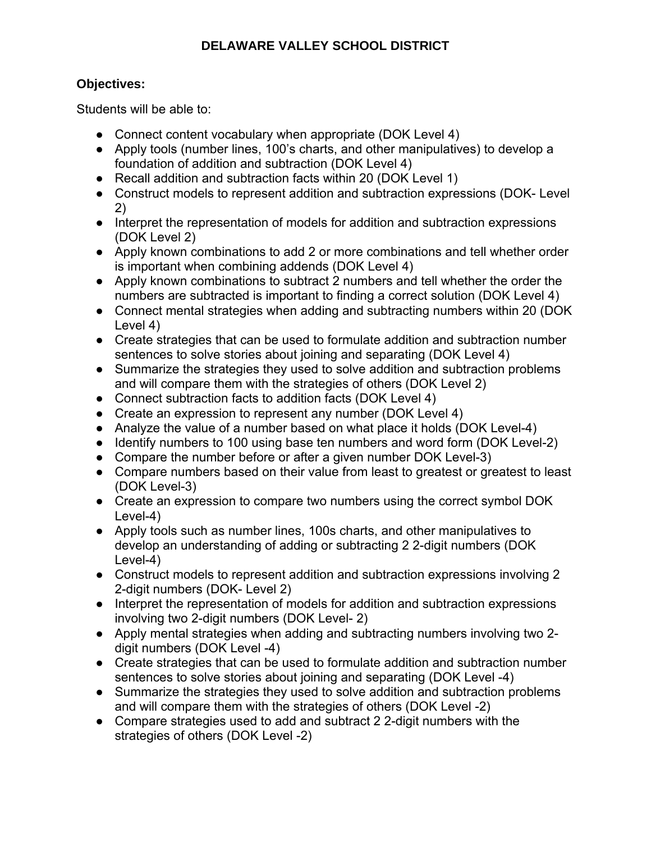#### **Objectives:**

- Connect content vocabulary when appropriate (DOK Level 4)
- Apply tools (number lines, 100's charts, and other manipulatives) to develop a foundation of addition and subtraction (DOK Level 4)
- Recall addition and subtraction facts within 20 (DOK Level 1)
- Construct models to represent addition and subtraction expressions (DOK- Level 2)
- Interpret the representation of models for addition and subtraction expressions (DOK Level 2)
- Apply known combinations to add 2 or more combinations and tell whether order is important when combining addends (DOK Level 4)
- Apply known combinations to subtract 2 numbers and tell whether the order the numbers are subtracted is important to finding a correct solution (DOK Level 4)
- Connect mental strategies when adding and subtracting numbers within 20 (DOK Level 4)
- Create strategies that can be used to formulate addition and subtraction number sentences to solve stories about joining and separating (DOK Level 4)
- Summarize the strategies they used to solve addition and subtraction problems and will compare them with the strategies of others (DOK Level 2)
- Connect subtraction facts to addition facts (DOK Level 4)
- Create an expression to represent any number (DOK Level 4)
- Analyze the value of a number based on what place it holds (DOK Level-4)
- Identify numbers to 100 using base ten numbers and word form (DOK Level-2)
- Compare the number before or after a given number DOK Level-3)
- Compare numbers based on their value from least to greatest or greatest to least (DOK Level-3)
- Create an expression to compare two numbers using the correct symbol DOK Level-4)
- Apply tools such as number lines, 100s charts, and other manipulatives to develop an understanding of adding or subtracting 2 2-digit numbers (DOK Level-4)
- Construct models to represent addition and subtraction expressions involving 2 2-digit numbers (DOK- Level 2)
- Interpret the representation of models for addition and subtraction expressions involving two 2-digit numbers (DOK Level- 2)
- Apply mental strategies when adding and subtracting numbers involving two 2 digit numbers (DOK Level -4)
- Create strategies that can be used to formulate addition and subtraction number sentences to solve stories about joining and separating (DOK Level -4)
- Summarize the strategies they used to solve addition and subtraction problems and will compare them with the strategies of others (DOK Level -2)
- Compare strategies used to add and subtract 2 2-digit numbers with the strategies of others (DOK Level -2)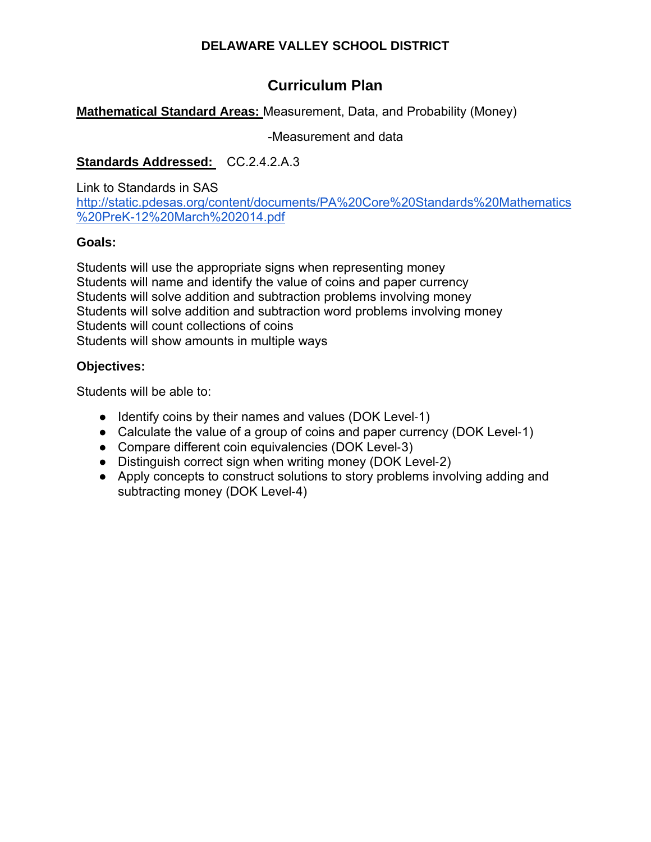# **Curriculum Plan**

#### **Mathematical Standard Areas:** Measurement, Data, and Probability (Money)

-Measurement and data

#### Standards Addressed: CC.2.4.2.A.3

Link to Standards in SAS http://static.pdesas.org/content/documents/PA%20Core%20Standards%20Mathematics %20PreK-12%20March%202014.pdf

#### **Goals:**

Students will use the appropriate signs when representing money Students will name and identify the value of coins and paper currency Students will solve addition and subtraction problems involving money Students will solve addition and subtraction word problems involving money Students will count collections of coins Students will show amounts in multiple ways

#### **Objectives:**

- Identify coins by their names and values (DOK Level-1)
- Calculate the value of a group of coins and paper currency (DOK Level-1)
- Compare different coin equivalencies (DOK Level-3)
- Distinguish correct sign when writing money (DOK Level-2)
- Apply concepts to construct solutions to story problems involving adding and subtracting money (DOK Level‐4)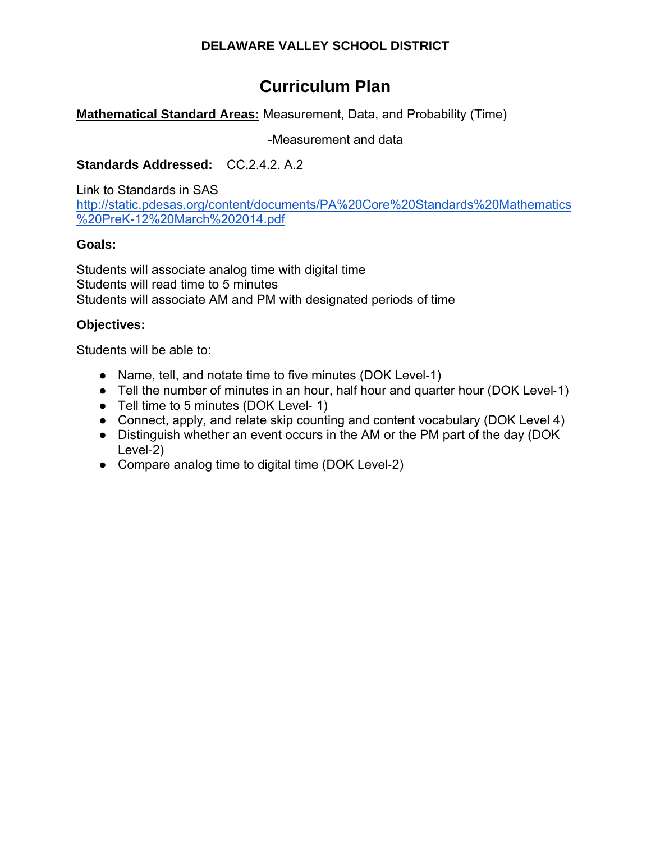# **Curriculum Plan**

## **Mathematical Standard Areas:** Measurement, Data, and Probability (Time)

-Measurement and data

## **Standards Addressed:** CC.2.4.2. A.2

Link to Standards in SAS http://static.pdesas.org/content/documents/PA%20Core%20Standards%20Mathematics %20PreK-12%20March%202014.pdf

#### **Goals:**

Students will associate analog time with digital time Students will read time to 5 minutes Students will associate AM and PM with designated periods of time

## **Objectives:**

- Name, tell, and notate time to five minutes (DOK Level-1)
- Tell the number of minutes in an hour, half hour and quarter hour (DOK Level-1)
- Tell time to 5 minutes (DOK Level- 1)
- Connect, apply, and relate skip counting and content vocabulary (DOK Level 4)
- Distinguish whether an event occurs in the AM or the PM part of the day (DOK Level‐2)
- Compare analog time to digital time (DOK Level-2)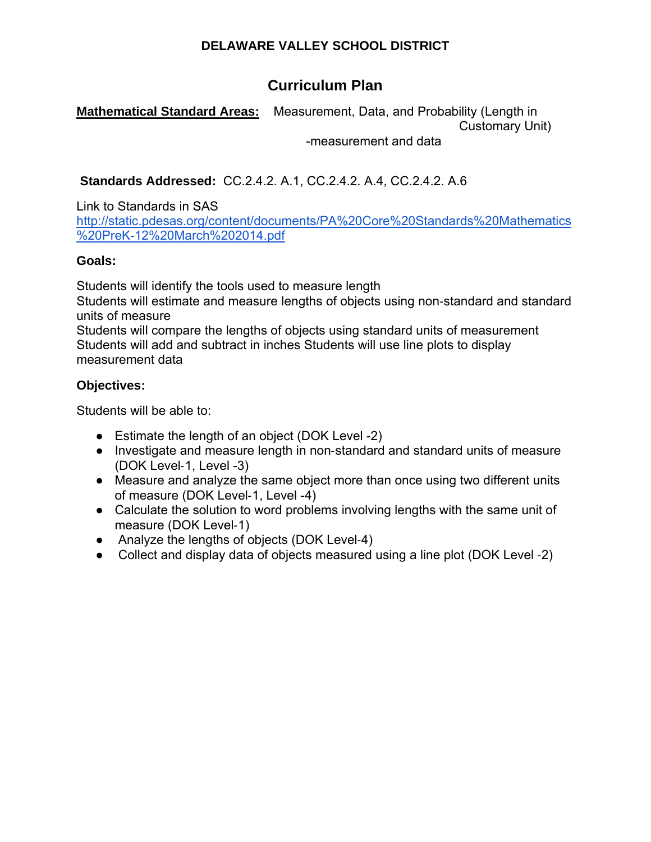# **Curriculum Plan**

**Mathematical Standard Areas:** Measurement, Data, and Probability (Length in Customary Unit)

-measurement and data

 **Standards Addressed:** CC.2.4.2. A.1, CC.2.4.2. A.4, CC.2.4.2. A.6

Link to Standards in SAS

http://static.pdesas.org/content/documents/PA%20Core%20Standards%20Mathematics %20PreK-12%20March%202014.pdf

#### **Goals:**

Students will identify the tools used to measure length

Students will estimate and measure lengths of objects using non‐standard and standard units of measure

Students will compare the lengths of objects using standard units of measurement Students will add and subtract in inches Students will use line plots to display measurement data

#### **Objectives:**

- Estimate the length of an object (DOK Level -2)
- Investigate and measure length in non-standard and standard units of measure (DOK Level‐1, Level -3)
- Measure and analyze the same object more than once using two different units of measure (DOK Level‐1, Level -4)
- Calculate the solution to word problems involving lengths with the same unit of measure (DOK Level‐1)
- Analyze the lengths of objects (DOK Level-4)
- Collect and display data of objects measured using a line plot (DOK Level -2)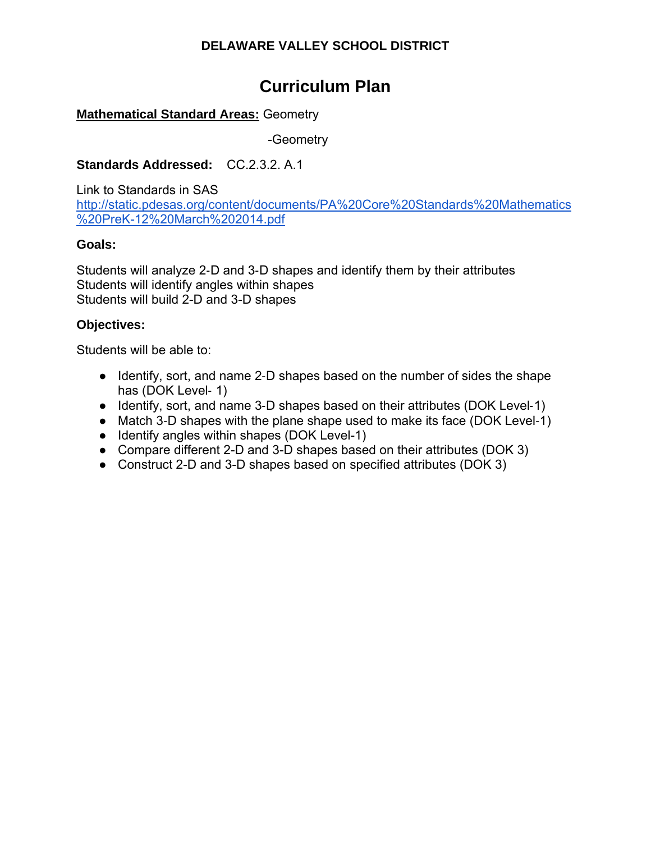# **Curriculum Plan**

#### **Mathematical Standard Areas:** Geometry

-Geometry

#### **Standards Addressed:** CC.2.3.2. A.1

Link to Standards in SAS http://static.pdesas.org/content/documents/PA%20Core%20Standards%20Mathematics %20PreK-12%20March%202014.pdf

#### **Goals:**

Students will analyze 2‐D and 3‐D shapes and identify them by their attributes Students will identify angles within shapes Students will build 2-D and 3-D shapes

#### **Objectives:**

- Identify, sort, and name 2-D shapes based on the number of sides the shape has (DOK Level- 1)
- Identify, sort, and name 3-D shapes based on their attributes (DOK Level-1)
- Match 3-D shapes with the plane shape used to make its face (DOK Level-1)
- Identify angles within shapes (DOK Level-1)
- Compare different 2-D and 3-D shapes based on their attributes (DOK 3)
- Construct 2-D and 3-D shapes based on specified attributes (DOK 3)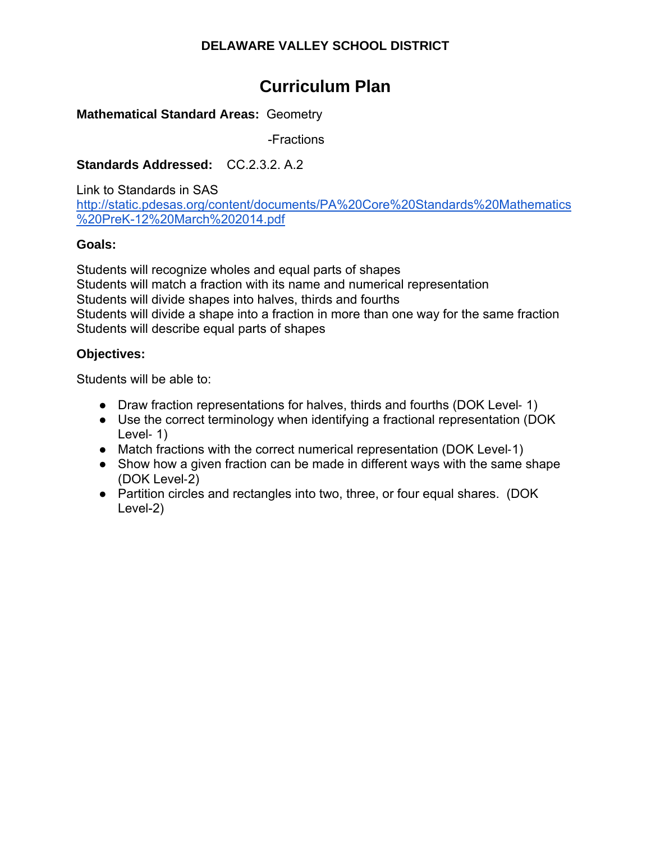# **Curriculum Plan**

#### **Mathematical Standard Areas:** Geometry

-Fractions

## **Standards Addressed:** CC.2.3.2. A.2

Link to Standards in SAS

http://static.pdesas.org/content/documents/PA%20Core%20Standards%20Mathematics %20PreK-12%20March%202014.pdf

#### **Goals:**

Students will recognize wholes and equal parts of shapes Students will match a fraction with its name and numerical representation Students will divide shapes into halves, thirds and fourths Students will divide a shape into a fraction in more than one way for the same fraction Students will describe equal parts of shapes

## **Objectives:**

- Draw fraction representations for halves, thirds and fourths (DOK Level-1)
- Use the correct terminology when identifying a fractional representation (DOK Level-1)
- Match fractions with the correct numerical representation (DOK Level-1)
- Show how a given fraction can be made in different ways with the same shape (DOK Level‐2)
- Partition circles and rectangles into two, three, or four equal shares. (DOK Level-2)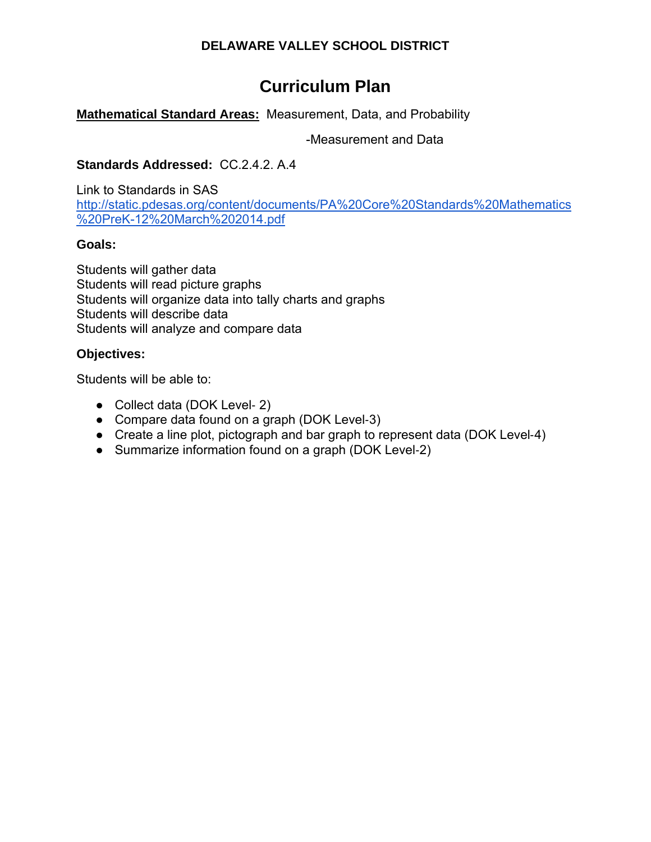# **Curriculum Plan**

# **Mathematical Standard Areas:** Measurement, Data, and Probability

-Measurement and Data

#### **Standards Addressed:** CC.2.4.2. A.4

Link to Standards in SAS http://static.pdesas.org/content/documents/PA%20Core%20Standards%20Mathematics %20PreK-12%20March%202014.pdf

#### **Goals:**

Students will gather data Students will read picture graphs Students will organize data into tally charts and graphs Students will describe data Students will analyze and compare data

#### **Objectives:**

- Collect data (DOK Level- 2)
- Compare data found on a graph (DOK Level-3)
- Create a line plot, pictograph and bar graph to represent data (DOK Level-4)
- Summarize information found on a graph (DOK Level-2)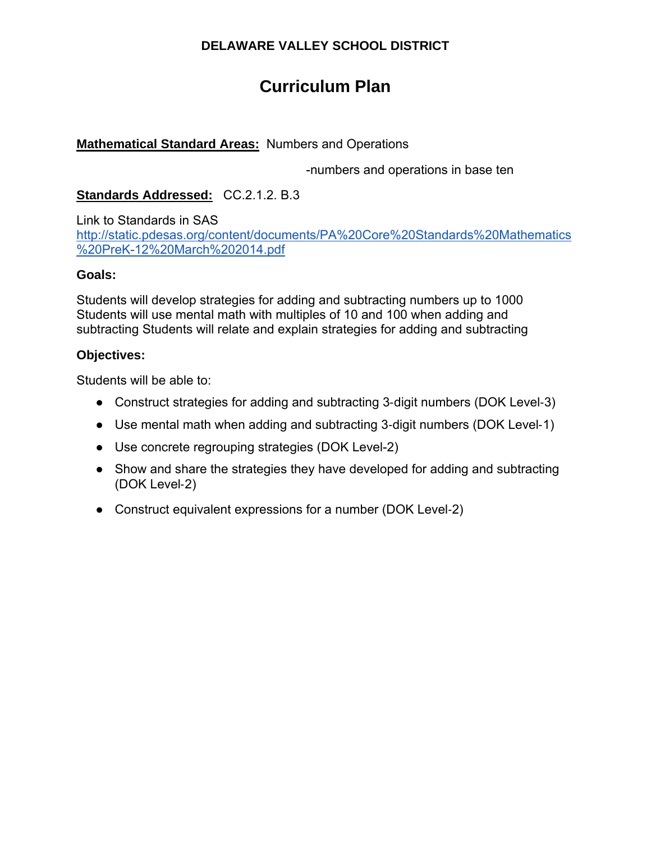# **Curriculum Plan**

#### **Mathematical Standard Areas:** Numbers and Operations

-numbers and operations in base ten

## **Standards Addressed:** CC.2.1.2. B.3

Link to Standards in SAS http://static.pdesas.org/content/documents/PA%20Core%20Standards%20Mathematics %20PreK-12%20March%202014.pdf

#### **Goals:**

Students will develop strategies for adding and subtracting numbers up to 1000 Students will use mental math with multiples of 10 and 100 when adding and subtracting Students will relate and explain strategies for adding and subtracting

#### **Objectives:**

- Construct strategies for adding and subtracting 3-digit numbers (DOK Level-3)
- Use mental math when adding and subtracting 3-digit numbers (DOK Level-1)
- Use concrete regrouping strategies (DOK Level-2)
- Show and share the strategies they have developed for adding and subtracting (DOK Level‐2)
- Construct equivalent expressions for a number (DOK Level-2)